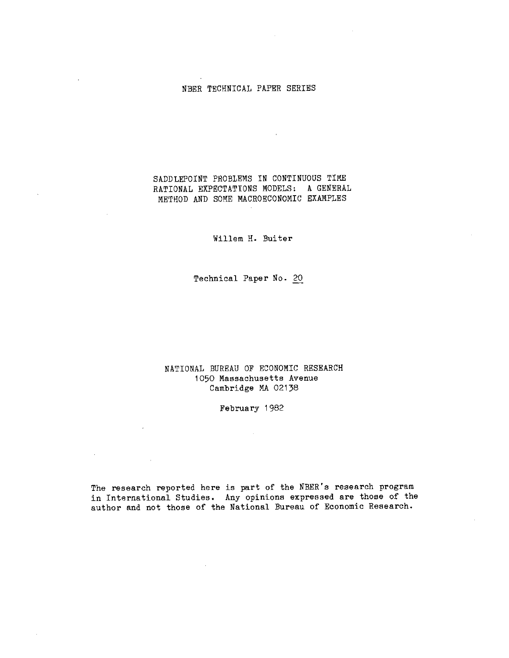#### NBER TECHNICAL PAPER SERIES

SADDLEPOINT PROBLEMS IN CONTINUOUS TIME RATIONAL EXPECTATIONS MODELS: A GENERAL METHOD ARD SOME MACROECONOMIC EXANPLES

 $\sim 10^{11}$  km  $^{-1}$ 

Willem H. Buiter

Technical Paper No. 20

NATIONAL BUREAU OF ECONOMIC RESEARCH 1050 Massachusetts Avenue Cambridge MA 02138

February 1982

 $\sim 10$ 

The research reported here is part of the NBER's research program in International Studies. Any opinions expressed are those of the author and not those of the National Bureau of Economic Research.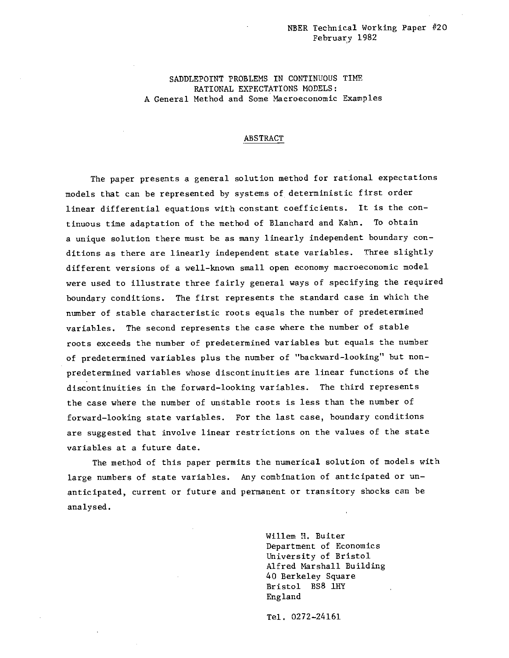### NBER Technical Working Paper #20 February 1982

SADDLEPOINT PROBLEMS IN CONTINUOUS TIME RATIONAL EXPECTATIONS MODELS: A General Method and Some Macroeconomic Examples

#### ABSTRACT

The paper presents a general solution method for rational expectations models that can be represented by systems of deterministic first order linear differential equations with constant coefficients. It is the continuous time adaptation of the method of Blanchard and Kahn. To obtain a unique solution there must be as many linearly independent boundary conditions as there are linearly independent state variables. Three slightly different versions of a well—known small open economy macroeconomic model were used to illustrate three fairly general ways of specifying the required boundary conditions. The first represents the standard case in which the number of stable characteristic roots equals the number of predetermined variables. The second represents the case where the number of stable roots exceeds the number of predetermined variables but equals the number of predetermined variables plus the number of "backward—looking" but non predetermined variables whose discontinuities are linear functions of the discontinuities in the forward—looking variables. The third represents the case where the number of unstable roots is less than the number of forward—looking state variables. For the last case, boundary conditions are suggested that involve linear restrictions on the values of the state variables at a future date.

The method of this paper permits the numerical solution of models with large numbers of state variables. Any combination of anticipated or unanticipated, current or future and permanent or transitory shocks can be analysed.

> Willem H. Buiter Department of Economics University of Bristol Alfred Marshall Building 40 Berkeley Square Bristol BS8 lilY England

Tel. 0272—24161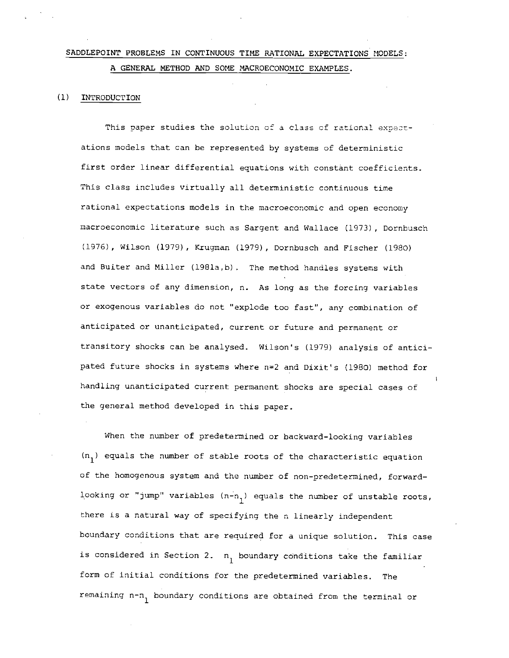## SADDLEPOINT PROBLEMS IN CONTINUOUS TIME RATIONAL EXPECTATIONS MODELS: A GENERAL METHOD AND SOME MACROECONOMIC EXAMPLES.

#### (1) INTRODUCTION

This paper studies the solution of a class of rational expectations models that can be represented by systems of deterministic first order linear differential equations with constant coefficients. This class includes virtually all deterministic continuous time rational expectations models in the macroeconomic and open economy macroeconomic literature such as Sargent and Wallace (1973) , Dornbusch (1976) , Wilson (1979) , Krugman (1979) , Dornbusch and Fischer (1980) and Buiter and Miller (l98la,b) . The method handles systems with state vectors of any dimension, n. As long as the forcing variables or exogenous variables do not "explode too fast", any combination of anticipated or unanticipated, current or future and permanent or transitory shocks can be analysed. Wilson's (1979) analysis of anticipated future shocks in systems where n=2 and Dixit's (1980) method for handling unanticipated current permanent shocks are special cases of the general method developed in this paper.

When the number of predetermined or backward—looking variables  $(n_1)$  equals the number of stable roots of the characteristic equation of the homogenous system and the number of non—predetermined, forward looking or "jump" variables  $(n-n_1)$  equals the number of unstable roots, there is a natural way of specifying the n linearly independent boundary conditions that are required for a unique solution. This case is considered in Section 2.  $n_1$  boundary conditions take the familiar form of initial conditions for the predetermined variables. The remaining n-n<sub>1</sub> boundary conditions are obtained from the terminal or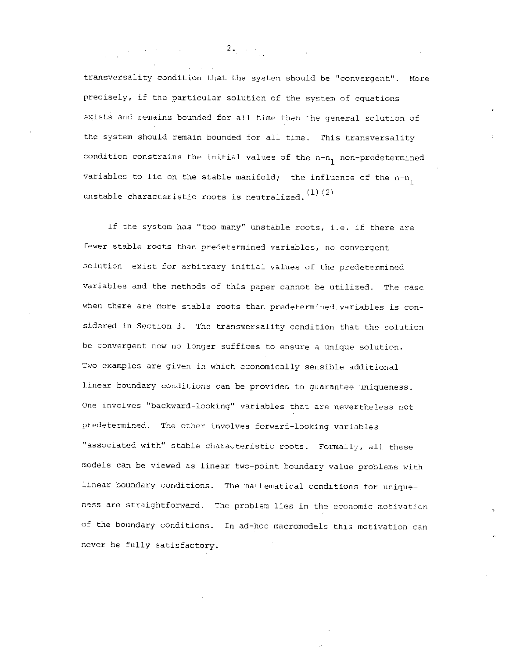transversality condition that the system should be "convergent". More precisely, if the particular solution of the system of equations exists and remains bounded for all time then the general solution of the system should remain bounded for all time. This transversality condition constrains the initial values of the  $n-n_1$  non-predetermined variables to lie on the stable manifold; the influence of the n-n $_{\rm l}$ unstable characteristic roots is neutralized.  $(1)$   $(2)$ 

If the system has "too many" unstable roots, i.e. if there are fewer stable roots than predetermined variables, no convergent solution exist for arbitrary initial values of the predetermined variables and the methods of this paper cannot be utilized. The case when there are more stable roots than predetermined variables is considered in Section 3. The transversality condition that the solution be convergent now no longer suffices to ensure a unique solution. Two examples are given in which economically sensible additional linear boundary conditions can be provided to guarantee uniqueness. One involves "backward-looking" variables that are nevertheless not predetermined. The other involves forward—looking variables "associated with" stable characteristic roots. Formally, all these models can be viewed as linear two—point boundary value problems with linear boundary conditions. The mathematical conditions for uniqueness are straightforward. The problem lies in the economic motivation of the boundary conditions. In ad—hoc macromodels this motivation can never be fully satisfactory.

 $2.2.22$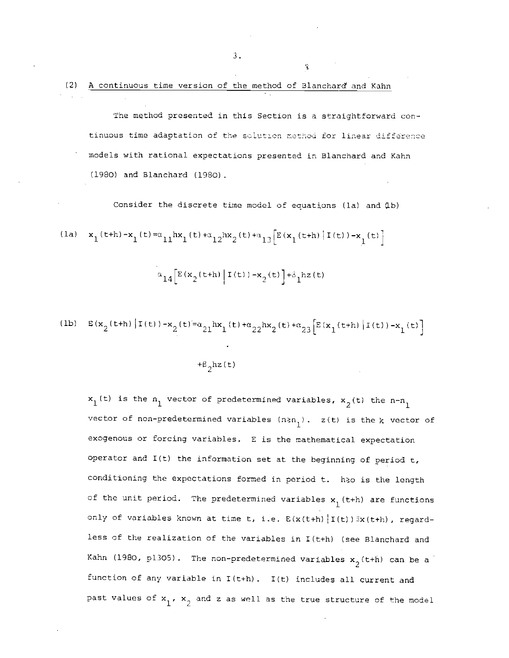The method presented in this Section is a straightforward continuous time adaptation of the solution method for linear difference models with rational expectations presented in Elanchard and Kahn (1980) and Elanchard (1980)

Consider the discrete time model of equations (la) and (lb)

$$
\begin{array}{ll}\n\text{(la)} & \mathbf{x}_1(t+h) - \mathbf{x}_1(t) = \alpha_{11} h \mathbf{x}_1(t) + \alpha_{12} h \mathbf{x}_2(t) + \alpha_{13} \Big[ E(\mathbf{x}_1(t+h) | I(t)) - \mathbf{x}_1(t) \Big] \\
& \alpha_{14} \Big[ E(\mathbf{x}_2(t+h) | I(t)) - \mathbf{x}_2(t) \Big] + \beta_1 h z(t)\n\end{array}
$$

(1b) 
$$
E(x_2(t+h)|I(t)) - x_2(t) = \alpha_{21}hx_1(t) + \alpha_{22}hx_2(t) + \alpha_{23}[E(x_1(t+h)|I(t)) - x_1(t)]
$$

\n $+ \beta_2hx(t)$ 

 $x_1(t)$  is the  $n_1$  vector of predetermined variables,  $x_2(t)$  the n-n<sub>1</sub> vector of non-predetermined variables  $(n\ge n_1)$ . z(t) is the k vector of exogenous or forcing variables. E is the mathematical expectation operator and 1(t) the information set at the beginning of period t, conditioning the expectations formed in period t. h>o is the length of the unit period. The predetermined variables  $x_1$  (t+h) are functions only of variables known at time t, i.e.  $E(x(t+h) | I(t)) \in x(t+h)$ , regardless of the realization of the variables in I(t+h) (see Blanchard and Kahn (1980, p1305). The non-predetermined variables  $x_2(t+h)$  can be a function of any variable in I(t+h). 1(t) includes all current and past values of  $x_1$ ,  $x_2$  and z as well as the true structure of the model

:3.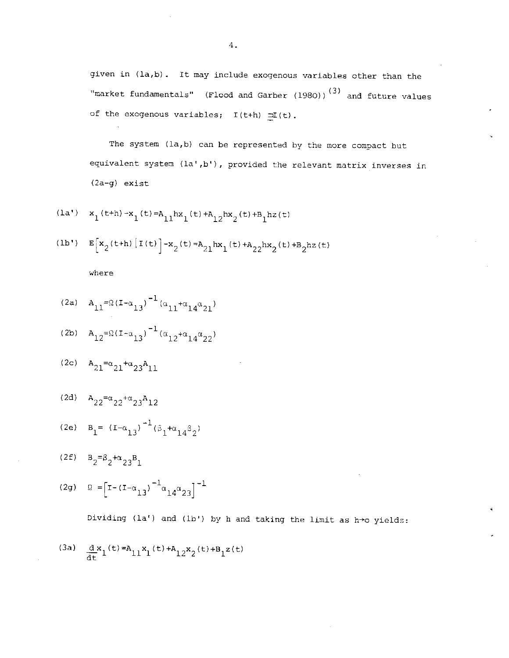given in (la,b). It may include exogenous variables other than the "market fundamentals" (Flood and Garber (1980))<sup>(3)</sup> and future values of the exogenous variables;  $I(t+h) = I(t)$ .

The system (la,b) can be represented by the more compact but equivalent system (la',b'), provided the relevant matrix inverses in (2a—g) exist

$$
(\mathtt{la'}) \quad \mathtt{x}_1(\mathtt{t+h}) - \mathtt{x}_1(\mathtt{t}) = \mathtt{A}_{11} \mathtt{hx}_1(\mathtt{t}) + \mathtt{A}_{12} \mathtt{hx}_2(\mathtt{t}) + \mathtt{B}_{1} \mathtt{hz}(\mathtt{t})
$$

$$
(1b') \t E[x_2(t+h) | I(t)] - x_2(t) = A_{21}hx_1(t) + A_{22}hx_2(t) + B_{2}hz(t)
$$

where

(2a) 
$$
A_{11} = \Omega (I - \alpha_{13})^{-1} (\alpha_{11} + \alpha_{14} \alpha_{21})
$$

(2b) 
$$
A_{12} = \Omega (I - \alpha_{13})^{-1} (\alpha_{12} + \alpha_{14} \alpha_{22})
$$

$$
{}^{(2c)} \quad A_{21} = \alpha_{21} + \alpha_{23} A_{11}
$$

$$
(2d) \quad A_{22} = \alpha_{22} + \alpha_{23} A_{12}
$$

(2e) 
$$
B_1 = (I - \alpha_{13})^{-1} (\beta_1 + \alpha_{14} \beta_2)
$$

(2f)  $B_2 = \beta_2 + \alpha_{23}B_1$ 

(2g) 
$$
\Omega = \left[ I - (I - \alpha_{13})^{-1} \alpha_{14} \alpha_{23} \right]^{-1}
$$

Dividing (la') and (lb') by h and taking the limit as h $\rightarrow$ o yields:

$$
\text{(3a)} \quad \frac{\mathrm{d}}{\mathrm{d} t} x_1^{(t)} = A_{11} x_1^{(t)} + A_{12} x_2^{(t)} + B_1 z(t)
$$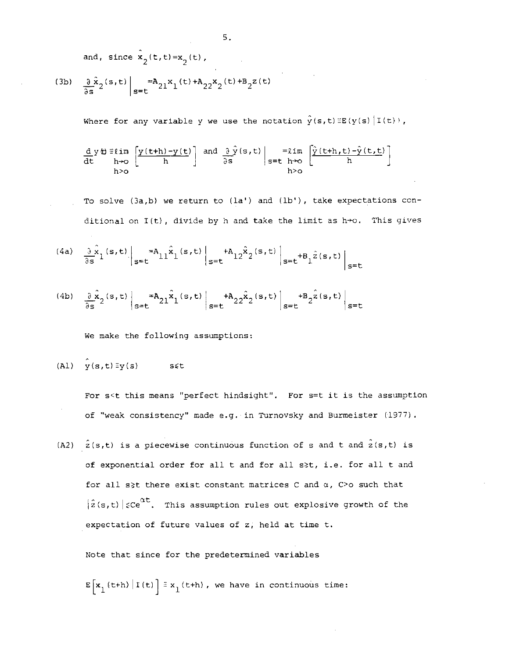and, since  $\hat{\mathbf{x}}_2(t,t) = \mathbf{x}_2(t)$ ,

(3b) 
$$
\frac{\partial}{\partial s} \hat{x}_2(s,t) \Big|_{s=t} = A_{21} x_1(t) + A_{22} x_2(t) + B_2 z(t)
$$

Where for any variable y we use the notation  $\hat{y}(s,t) \equiv E(y(s) | I(t))$ ,

 $\left[\frac{y(t+h)-y(t)}{h}\right]$  and  $\left[\frac{\partial y(s,t)}{\partial s}\right]$  =  $\lim_{s=t}$   $\left[\frac{y(t+h,t)-y(t,t)}{h}\right]$ h>o h>o

To solve  $(3a,b)$  we return to  $(1a')$  and  $(1b')$ , take expectations conditional on  $I(t)$ , divide by h and take the limit as  $h\rightarrow o$ . This gives

$$
\begin{array}{cc}\n\text{(4a)} & \frac{\partial \hat{x}}{\partial s} \text{ (s, t)} \\
\frac{\partial \hat{x}}{\partial t} & \frac{\partial \hat{x}}{\partial t}\n\end{array}
$$

(4b) 
$$
\frac{\partial \hat{\mathbf{x}}}{\partial s^2}(s,t) \bigg|_{s=t} = A_{21} \hat{\mathbf{x}}_1(s,t) \bigg|_{s=t} + A_{22} \hat{\mathbf{x}}_2(s,t) \bigg|_{s=t} + B_2 \hat{\mathbf{z}}(s,t) \bigg|_{s=t}
$$

We make the following assumptions:

$$
(A1) \quad \hat{y}(s,t) \equiv y(s) \qquad s \leq t
$$

For s<t this means "perfect hindsight". For s=t it is the assumption of "weak consistency" made e.g. in Turnovsky and Burmeister (1977)

(A2)  $\hat{z}(s,t)$  is a piecewise continuous function of s and t and  $\hat{z}(s,t)$  is of exponential order for all t and for all s>t, i.e. for all t and for all s>t there exist constant matrices C and  $\alpha$ , C>o such that  $|\hat{z}(s,t)|$   $\zeta$ Ce<sup>at</sup>. This assumption rules out explosive growth of the expectation of future values of z; held at time t.

Note that since for the predetermined variables

 $\mathbf{E}\left[\mathbf{x}_1\left(\mathsf{t+h}\right) \,|\, \mathbf{I}\left(\mathsf{t}\right)\right]$  =  $\mathbf{x}_1\left(\mathsf{t+h}\right)$  , we have in continuous time: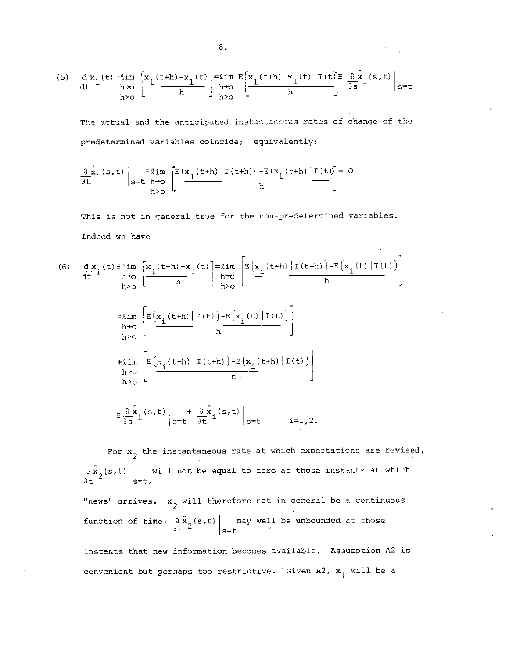(5) 
$$
\frac{d x}{dt} \left\{ \begin{array}{l} \text{lim} \\ \text{lim} \\ \text{lim} \end{array} \right\} \left[ \begin{array}{l} x_1(t+h) - x_1(t) \\ \text{lim} \end{array} \right] = \lim_{h \to 0} \left\{ \begin{array}{l} x_1(t+h) - x_1(t) \left[ \begin{array}{l} 1(t) \right] = \frac{\partial}{\partial x_1}(s,t) \\ h \end{array} \right\} \right\} = t
$$

The actual and the anticipated instantaneous rates of change of the predetermined variables coincide; equivalently:

 $\label{eq:2.1} \mathcal{L}(\mathcal{L}^{\mathcal{L}}_{\mathcal{L}}(\mathcal{L}^{\mathcal{L}}_{\mathcal{L}})) = \mathcal{L}(\mathcal{L}^{\mathcal{L}}_{\mathcal{L}}(\mathcal{L}^{\mathcal{L}}_{\mathcal{L}})) = \mathcal{L}(\mathcal{L}^{\mathcal{L}}_{\mathcal{L}}(\mathcal{L}^{\mathcal{L}}_{\mathcal{L}}))$ 

$$
\frac{\partial}{\partial t} \hat{x}_1(s,t) \Big|_{s=t-h \to 0} \left[ E\left(\frac{x_1(t+h) | \tau(t+h) \right) - E\left(x_1(t+h) | \tau(t) \right) }{h} \right] = 0
$$

This is not in general true for the non-predetermined variables. Indeed we have

(6) 
$$
\frac{d}{dt} \mathbf{x}_i(t) = \lim_{h \to 0} \left[ \frac{\mathbf{x}_i(t+h) - \mathbf{x}_i(t)}{h} \right] = \lim_{h \to 0} \left[ \frac{\mathbf{E}(\mathbf{x}_i(t+h) | \mathbf{T}(t+h)) - \mathbf{E}(\mathbf{x}_i(t) | \mathbf{T}(t))}{h} \right]
$$
  
\n
$$
\approx \lim_{h \to 0} \left[ \frac{\mathbf{E}(\mathbf{x}_i(t+h) | \mathbf{T}(t)) - \mathbf{E}(\mathbf{x}_i(t) | \mathbf{T}(t))}{h} \right]
$$
  
\n
$$
+ \lim_{h \to 0} \left[ \frac{\mathbf{E}(\mathbf{x}_i(t+h) | \mathbf{T}(t+h)) - \mathbf{E}(\mathbf{x}_i(t+h) | \mathbf{T}(t))}{h} \right]
$$

$$
\pm \frac{\partial \hat{\mathbf{x}}}{\partial s} \mathbf{i}^{(s,t)} \Big|_{s=t} + \frac{\partial \hat{\mathbf{x}}}{\partial t} \mathbf{i}^{(s,t)} \Big|_{s=t} \qquad i=1,2.
$$

For  $x_2$  the instantaneous rate at which expectations are revised,  $\left\{ \frac{1}{2}x_2(s,t) \right\}$  will not be equal to zero at those instants at which  $\overline{\partial t}$  st, "news" arrives.  $x_2$  will therefore not in general be a continuous function of time:  $\partial \ddot{\mathbf{x}}_2(\mathbf{s},t)$  may well be unbounded at those  $\overline{\det}$   $\overline{z}$   $\Big|$   $\overline{\det}$   $\overline{z}$   $\Big|$   $\overline{z}$   $\overline{z}$   $\Big|$   $\overline{z}$   $\overline{z}$   $\Big|$   $\overline{z}$   $\overline{z}$   $\Big|$   $\overline{z}$   $\overline{z}$   $\Big|$   $\overline{z}$   $\overline{z}$   $\Big|$   $\overline{z}$   $\overline{z}$   $\Big|$   $\overline{z}$   $\overline{z}$   $\overline{z}$   $\$ instants that new information becomes available. Assumption A2 is

convenient but perhaps too restrictive. Given A2,  $x_1$  will be a

$$
6. \hspace{20pt} \blacksquare
$$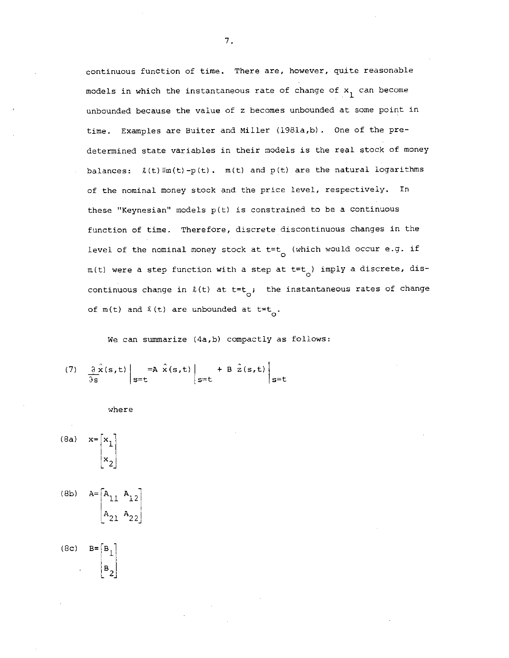continuous function of time. There are, however, quite reasonable models in which the instantaneous rate of change of  $x_1$  can become unbounded because the value of z becomes unbounded at some point in time. Examples are Buiter and Miller (l981a,b). One of the predetermined state variables in their models is the real stack of money balances:  $\ell(t) \equiv m(t) - p(t)$ .  $m(t)$  and  $p(t)$  are the natural logarithms of the nominal money stock and the price level, respectively. In these "Keynesian" models  $p(t)$  is constrained to be a continuous function of time. Therefore, discrete discontinuous changes in the level of the nominal money stock at  $t=t_0$  (which would occur e.g. if  $m(t)$  were a step function with a step at t=t<sub>o</sub>) imply a discrete, discontinuous change in  $l(t)$  at t=t<sub>o</sub>; the instantaneous rates of change of m(t) and  $\ell$  (t) are unbounded at t=t<sub>o</sub>.

We can summarize (4a,b) compactly as follows:

(7) 
$$
\frac{\partial \hat{x}(s,t)}{\partial s}\Big|_{s=t} = A \hat{x}(s,t) \Big|_{s=t} + B \hat{z}(s,t) \Big|_{s=t}
$$

$$
\quad \text{where} \quad
$$

(8a) 
$$
\mathbf{x} = \begin{bmatrix} x_1 \\ x_2 \end{bmatrix}
$$
  
\n(8b)  $\mathbf{A} = \begin{bmatrix} \mathbf{A}_{11} & \mathbf{A}_{12} \\ \mathbf{A}_{21} & \mathbf{A}_{22} \end{bmatrix}$ 

(8c)  $B = \begin{bmatrix} B_L \end{bmatrix}$  $|B_2|$ 

7.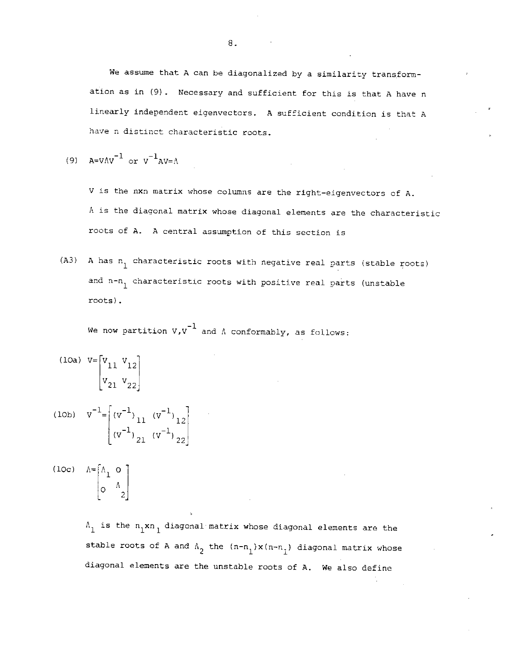We assume that A can be diagonalized by a similarity transformation as in (9) . Necessary and sufficient for this is that A have n linearly independent eigenvectors. A sufficient condition is that A have n distinct characteristic roots.

(9)  $A=VAV^{-1}$  or  $V^{-1}AV=A$ 

V is the nxn matrix whose columns are the right-eigenvectors of A. A is the diagonal matrix whose diagonal elements are the characteristic roots of A. A central assumption of this section is

(A3) A has  $n_1$  characteristic roots with negative real parts (stable roots) and n-n<sub>1</sub> characteristic roots with positive real parts (unstable roots)

We now partition  $v_vv^{-1}$  and  $\Lambda$  conformably, as follows:

(10a) 
$$
V = \begin{bmatrix} V_{11} & V_{12} \\ V_{21} & V_{22} \end{bmatrix}
$$
  
(10b)  $V^{-1} = \begin{bmatrix} (V^{-1})_{11} & (V^{-1})_{12} \\ (V^{-1})_{21} & (V^{-1})_{22} \end{bmatrix}$ 

(loc)  $\Lambda = \begin{bmatrix} \Lambda_1 & \mathbf{0} \end{bmatrix}$  $\Lambda$  |  $\sim$  |

> $\Lambda_1$  is the  $n_1xn_1$  diagonal matrix whose diagonal elements are the stable roots of A and  $\Lambda_2$  the  $(n-n_1)x(n-n_1)$  diagonal matrix whose diagonal elements are the unstable roots of A. We also define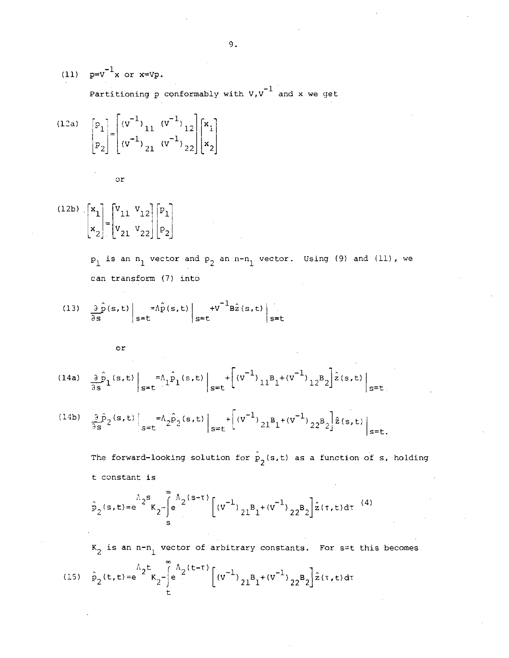(11) 
$$
p=v^{-1}x
$$
 or  $x=Vp$ .  
Partitioning p conformably with  $V, v^{-1}$  and x we get

(12a) 
$$
\begin{bmatrix} p_1 \\ p_2 \end{bmatrix} = \begin{bmatrix} (v^{-1})_{11} & (v^{-1})_{12} \\ (v^{-1})_{21} & (v^{-1})_{22} \end{bmatrix} \begin{bmatrix} x_1 \\ x_2 \end{bmatrix}
$$

or

 $\begin{bmatrix} (12b) & x_1 \\ 1 & 1 \end{bmatrix}$   $\begin{bmatrix} v_{11} & v_{12} \\ 1 & 1 \end{bmatrix}$  $\binom{2}{2}$   $\binom{2}{21}$   $\binom{2}{2}$   $\binom{2}{3}$ 

> $p_1$  is an  $n_1$  vector and  $p_2$  an  $n-n_1$  vector. Using (9) and (11), we can transform (7) into

(13) 
$$
\frac{\partial \hat{p}(s,t)}{\partial s} \bigg|_{s=t} = \hat{h} \hat{p}(s,t) \bigg|_{s=t} + v^{-1} B \hat{z}(s,t) \bigg|_{s=t}
$$

or

(14a) 
$$
\frac{\partial \hat{p}}{\partial s} (s,t) \Big|_{s=t} = A_1 \hat{p}_1(s,t) \Big|_{s=t} + \Big[ (v^{-1})_{11} B_1 + (v^{-1})_{12} B_2 \Big] \hat{z}(s,t) \Big|_{s=t}
$$

(14b) 
$$
\frac{\partial \hat{p}_2}{\partial s}(s,t) \Big|_{s=t} = A_2 \hat{p}_2(s,t) \Big|_{s=t} + \left[ (v^{-1})_{21} B_1 + (v^{-1})_{22} B_2 \right] \hat{z}(s,t) \Big|_{s=t}.
$$

The forward-looking solution for  $\hat{p}_2(s,t)$  as a function of s, holding t constant is

$$
\hat{p}_2(s,t) = e^{-A_2 s} K_2 - \int_{s}^{A_2} e^{(s-\tau)} \left[ (v^{-1})_{21} B_1 + (v^{-1})_{22} B_2 \right] \hat{z}(\tau, t) dt \tag{4}
$$

 $K_2$  is an n-n<sub>1</sub> vector of arbitrary constants. For s=t this becomes  $\int_{0}^{\infty} A_2(t-\tau) \int_{\tau}$  1,  $\int_{0}^{\infty}$  1,  $\int_{0}^{\infty}$  1,  $\int_{0}^{\infty}$ (15)  $p_2(t,t)=e$   $k_2$ - $e$   $[ (V \t 21^B_1+(V \t 22^B_2)z(t,t)dt$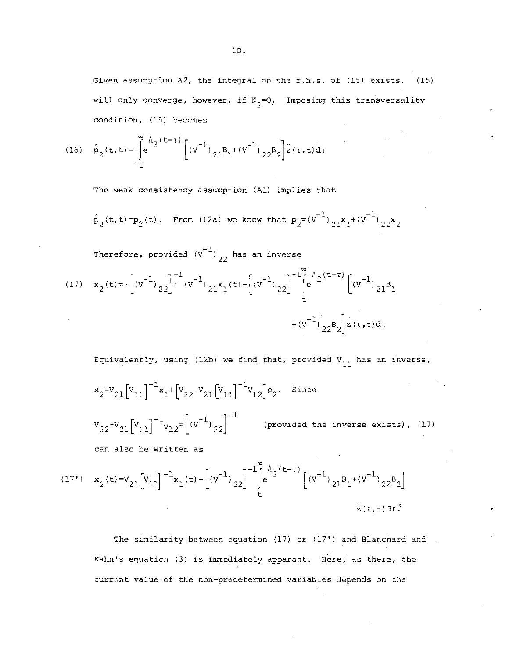Given assumption A2, the integral on the r.h.s. of (15) exists. (15) will only converge, however, if  $K_{2}=O$ . Imposing this transversality condition, (15) becomes

(16) 
$$
\hat{p}_2(t,t) = -\int_0^{\infty} e^{A_2(t-\tau)} \left[ (v^{-1})_{21}B_1 + (v^{-1})_{22}B_2 \right] \hat{z}(\tau,t) d\tau
$$

The weak consistency assumption (Al) implies that

 $\hat{p}_2(t,t) = p_2(t)$ . From (12a) we know that  $p_2 = (v^{-1})_{21}x_1 + (v^{-1})_{22}x_2$ 

Therefore, provided  $(v^{-1})_{22}$  has an inverse

(17) 
$$
\mathbf{x}_{2}(t) = -\left[\left(v^{-1}\right)_{22}\right]^{-1} \left(v^{-1}\right)_{21} \mathbf{x}_{1}(t) - \left[\left(v^{-1}\right)_{22}\right]^{-1} \left[e^{A_{2}(t-\tau)}\left[\left(v^{-1}\right)_{21}B_{1} + \left(v^{-1}\right)_{22}B_{2}\right] \hat{z}(\tau, t) d\tau\right]
$$

Equivalently, using (12b) we find that, provided  $V_{11}$  has an inverse,  $x_2=V_{21} \begin{bmatrix} V_{11} \end{bmatrix}^{-1} x_1 + \begin{bmatrix} V_{22}-V_{21} \begin{bmatrix} V_{11} \end{bmatrix}^{-1} V_{12} \end{bmatrix} p_2$ . Since  $v_{22} - v_{21} [v_{11}]^{-1} v_{12} = (v^{-1})_{22}]^{-1}$  (provided the inverse exists), (17) can also be written as

(17') 
$$
\mathbf{x}_2(t) = \mathbf{V}_{21} \left[ \mathbf{V}_{11} \right]^{-1} \mathbf{x}_1(t) - \left[ \left( \mathbf{V}^{-1} \right)_{22} \right]^{-1} \left[ e^{\mathbf{A}_2(t-\tau)} \left[ \left( \mathbf{V}^{-1} \right)_{21} \mathbf{B}_1 + \left( \mathbf{V}^{-1} \right)_{22} \mathbf{B}_2 \right] \right]
$$
  
 $\hat{z}(t, t) dt.$ 

The similarity between equation (17) or (17') and Blanchard and Kahn's equation (3) is immediately apparent. Here, as there, the current value of the non—predetermined variables depends on the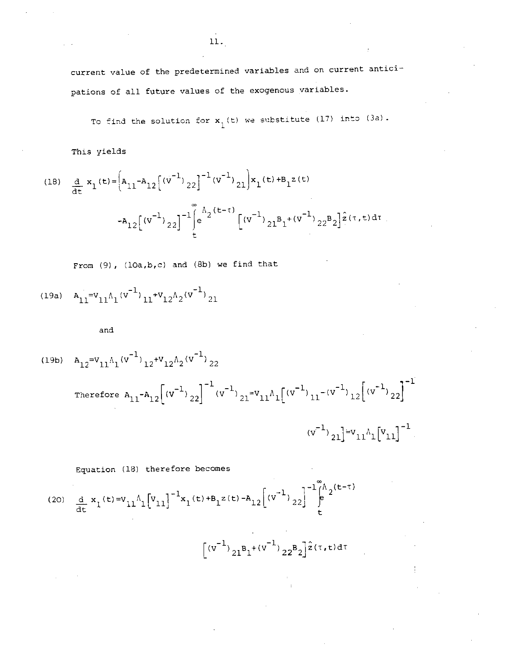cuzrent value of the predetermined variables and on current anticipations of all future values of the exogenous variables.

To find the solution for  $\mathbf{x}_{1}^{}$  (t) we substitute (17) into (3d).

This yields

(18) 
$$
\frac{d}{dt} x_1(t) = \left[ A_{11} - A_{12} \left[ (v^{-1})_{22} \right]^{-1} (v^{-1})_{21} \right] x_1(t) + B_1 z(t)
$$

$$
+ A_{12} \left[ (v^{-1})_{22} \right]^{-1} \int_{t}^{\infty} e^{A_2(t - t)} \left[ (v^{-1})_{21} B_1 + (v^{-1})_{22} B_2 \right] \hat{z}(\tau, t) d\tau
$$

From (9), (lOa,b,c) and (Sb) we find that

$$
(19a) \quad A_{11} = v_{11} A_1 (v^{-1})_{11} + v_{12} A_2 (v^{-1})_{21}
$$

and

(19b) 
$$
A_{12} = v_{11} A_1 (v^{-1})_{12} + v_{12} A_2 (v^{-1})_{22}
$$
  
\nTherefore  $A_{11} - A_{12} [(v^{-1})_{22}]^{-1} (v^{-1})_{21} = v_{11} A_1 [(v^{-1})_{11} - (v^{-1})_{12} [(v^{-1})_{22}]^{-1}$   
\n $(v^{-1})_{21} = v_{11} A_1 [v_{11}]^{-1}$ 

#### Equation (18) therefore becomes

(20) 
$$
\frac{d}{dt} \mathbf{x}_1(t) = \mathbf{V}_{11} \Lambda_1 \left[ \mathbf{V}_{11} \right]^{-1} \mathbf{x}_1(t) + \mathbf{B}_1 \mathbf{z}(t) - \mathbf{A}_{12} \left[ \left( \mathbf{V}^{-1} \right)_{22} \right]^{-1} \int_{t}^{\infty} \mathbf{A}^2(t - \tau) dt
$$

 $\Big\lceil(\texttt{v}^{-1})_{21}\texttt{B}_1+(\texttt{v}^{-1})_{22}\texttt{B}_2\Big\rfloor^{\hat{z}(\tau,\mathbf{t})\,\text{d}\tau}$ 

11.•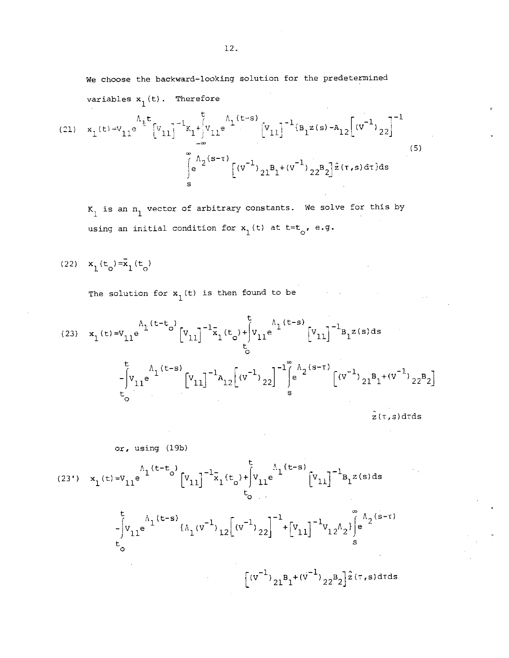We choose the backward—looking solution for the predetermined

variables  $x_1(t)$ . Therefore

(21) 
$$
x_1(t) = v_{11}e^{\lambda_1 t} [v_{11}]^{-1}x_1 + \int_{-\infty}^{t} v_{11}e^{\lambda_1 (t-s)} [v_{11}]^{-1}B_1 z(s) - A_{12} [(v^{-1})_{22}]^{-1}
$$
  

$$
\int_{s}^{\infty} e^{\lambda_2 (s-\tau)} [(v^{-1})_{21}B_1 + (v^{-1})_{22}B_2] \hat{z}(\tau, s) d\tau] ds
$$
 (5)

 $K_1$  is an  $n_1$  vector of arbitrary constants. We solve for this by using an initial condition for  $x_1(t)$  at  $t=t_0$ , e.g.

(22)  $x_1(t_0) = x_1(t_0)$ 

The solution for  $x_1(t)$  is then found to be

(23) 
$$
x_1(t)=v_{11}e^{\Lambda_1(t-t_0)}[v_{11}]^{-1}\bar{x}_1(t_0)+\int_0^t v_{11}e^{\Lambda_1(t-s)}[v_{11}]^{-1}B_1z(s)ds
$$
  

$$
-\int_0^t v_{11}e^{\Lambda_1(t-s)}[v_{11}]^{-1}A_{12}[(v^{-1})_{22}]^{-1}\int_s^{\infty}\left(e^{\Lambda_2(s-\tau)}\left[(v^{-1})_{21}B_1+(v^{-1})_{22}B_2\right]\right)ds
$$

$$
\hat{z}(\tau,s)drds
$$

 $\sim 10$ 

$$
(23') \quad x_1(t) = V_{11}e^{\mathop{\bigg[}\nolimits(19b)\bigg]}\n\begin{bmatrix}\n\frac{1}{2}(t-t) \\
\frac{1}{2}(t-t) \\
\frac{1}{2}(t-t) \\
\frac{1}{2}(t-t) \\
\frac{1}{2}(t-t) \\
\frac{1}{2}(t-t) \\
\frac{1}{2}(t-t) \\
\frac{1}{2}(t-t) \\
\frac{1}{2}(t-t) \\
\frac{1}{2}(t-t) \\
\frac{1}{2}(t-t) \\
\frac{1}{2}(t-t) \\
\frac{1}{2}(t-t) \\
\frac{1}{2}(t-t) \\
\frac{1}{2}(t-t) \\
\frac{1}{2}(t-t) \\
\frac{1}{2}(t-t) \\
\frac{1}{2}(t-t) \\
\frac{1}{2}(t-t) \\
\frac{1}{2}(t-t) \\
\frac{1}{2}(t-t) \\
\frac{1}{2}(t-t) \\
\frac{1}{2}(t-t) \\
\frac{1}{2}(t-t) \\
\frac{1}{2}(t-t) \\
\frac{1}{2}(t-t) \\
\frac{1}{2}(t-t) \\
\frac{1}{2}(t-t) \\
\frac{1}{2}(t-t) \\
\frac{1}{2}(t-t) \\
\frac{1}{2}(t-t) \\
\frac{1}{2}(t-t) \\
\frac{1}{2}(t-t) \\
\frac{1}{2}(t-t) \\
\frac{1}{2}(t-t) \\
\frac{1}{2}(t-t) \\
\frac{1}{2}(t-t) \\
\frac{1}{2}(t-t) \\
\frac{1}{2}(t-t) \\
\frac{1}{2}(t-t) \\
\frac{1}{2}(t-t) \\
\frac{1}{2}(t-t) \\
\frac{1}{2}(t-t) \\
\frac{1}{2}(t-t) \\
\frac{1}{2}(t-t) \\
\frac{1}{2}(t-t) \\
\frac{1}{2}(t-t) \\
\frac{1}{2}(t-t) \\
\frac{1}{2}(t-t) \\
\frac{1}{2}(t-t) \\
\frac{1}{2}(t-t) \\
\frac{1}{2}(t-t) \\
\frac{1}{2}(t-t) \\
\frac{1}{2}(t-t) \\
\frac{1}{2}(t-t) \\
\frac{1}{2}(t-t) \\
\frac{1}{2}(t-t) \\
\frac{1}{2}(t-t) \\
\frac{1}{2}(t-t) \\
\frac{1}{2}(t-t) \\
\frac{1}{2}(t-t) \\
\frac{1}{2}(t-t) \\
\frac{1}{2}(t-t) \\
\frac{1}{2}(t-t) \\
\frac{1}{2}(t-t
$$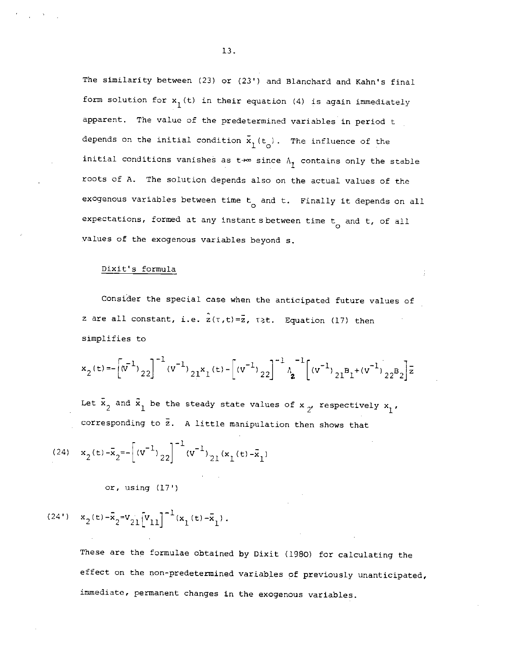The similarity between (23) or (23') and Blanchard and Kahn's final form solution for  $x_1(t)$  in their equation (4) is again immediately apparent. The value of the predetermined variables in period t depends on the initial condition  $\bar{x}_1(t_{\alpha})$ . The influence of the initial conditions vanishes as  $t\rightarrow\infty$  since  $\Lambda_{\uparrow}$  contains only the stable roots of A. The solution depends also on the actual values of the exogenous variables between time  $t_{0}$  and t. Finally it depends on all expectations, formed at any instant sbetween time  $t_{o}$  and  $t$ , of all values of the exogenous variables beyond 5.

#### Dixit's formula

Consider the special case when the anticipated future values of z are all constant, i.e.  $\hat{z}(\tau,t)=\bar{z}$ ,  $\tau \geq t$ . Equation (17) then simplifies to

$$
x_2(t) = -\left[\left(\sqrt{x}^{-1}\right)_{22}\right]^{-1} \left(\sqrt{x}^{-1}\right)_{21} x_1(t) - \left[\left(\sqrt{x}^{-1}\right)_{22}\right]^{-1} \left(\sqrt{x}^{-1}\right)_{21} x_1 + \left(\sqrt{x}^{-1}\right)_{22} x_2\right] \bar{z}
$$

Let  $\bar{x}_2$  and  $\bar{x}_1$  be the steady state values of  $x_{2'}$  respectively  $x_1$ , corresponding to  $\bar{z}$ . A little manipulation then shows that

(24) 
$$
x_2(t) - \bar{x}_2 = -[(v^{-1})_{22}]^{-1}(v^{-1})_{21}(x_1(t) - \bar{x}_1)
$$

or, using (17')

# $(24') \quad x_2^{}(t) - \bar{x}_2^{} {=} v_{21}^{} \Big[ v_{11}^{} \Big]^{-1} (x_1^{}(t) - \bar{x}_1^{} ) \; .$

These are the formulae obtained by Dixit (1980) for calculating the effect on the non-predetermined variables of previously unanticipated, immediate, permanent changes in the exogenous variables.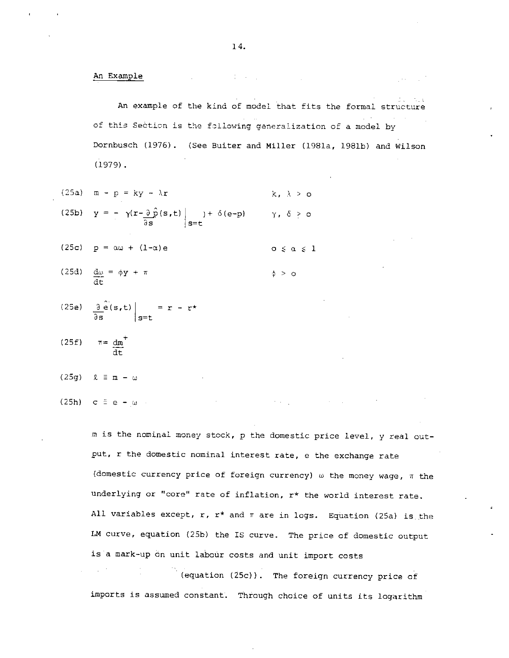An Example

An example of the kind of model that fits the formal structure of this Seàtion is the following generalization of a model by Dornbusch (1976) . (See Buiter and Miller (l98la, l98lb) and Wilson (1979).

- (25a)  $m p = ky \lambda r$  k,  $\lambda > 0$
- (25b)  $y = -\gamma(r-\partial \hat{p}(s,t))$  )+  $\delta(e-p)$   $\gamma$ ,  $\delta > 0$  $\partial s$  s=t
- (25c)  $p = \alpha \omega + (1-\alpha)e$  o  $\le \alpha \le 1$
- (25d)  $\frac{d\omega}{dt} = \phi y + \pi$   $\phi > 0$
- (25e)  $\frac{\partial}{\partial s} \hat{e}(s,t) \Big|_{s=t} = r r^*$
- $(25t)$   $\pi=dm$ dt

$$
(25g) \quad \ell \equiv m - \omega
$$

(25h) c  $\equiv$  e  $-\mu$ .

m is the nominal money stock, p the domestic price level, y real output, r the domestic nominal interest rate, e the exchange rate (domestic currency price of foreign currency)  $\omega$  the money wage,  $\pi$  the underlying or "core" rate of inflation, r\* the world interest rate. All variables except,  $r$ ,  $r^*$  and  $\pi$  are in logs. Equation (25a) is the LM curve, equation (25b) the IS curve. The price of domestic output is a mark-up on unit labour costs and unit import costs

(equation (25c)) . The foreign currency price of imports is assumed constant. Through choice of units its logarithm

计数据 经公司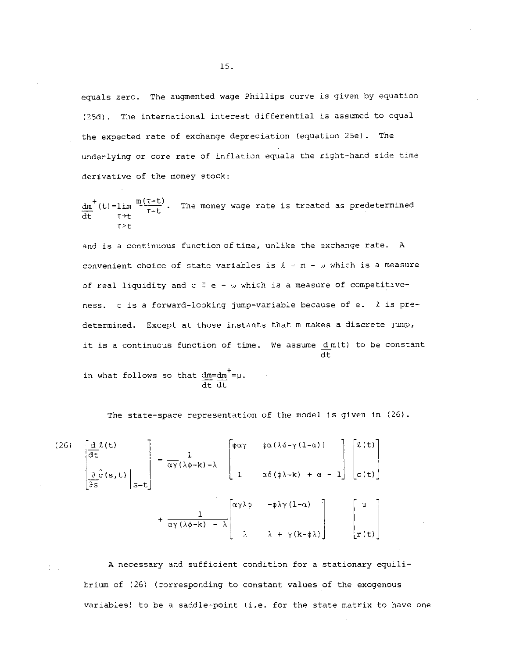equals zero. The augmented wage Phillips curve is given by equation (25d). The international interest differential is assumed to equal the expected rate of exchange depreciation (equation 25e). The underlying or core rate of inflation equals the right-hand side time derivative of the money stock:

$$
\frac{dm}{dt}^+(t) = \lim_{\tau \to t} \frac{m(\tau - t)}{\tau - t}
$$
. The money wage rate is treated as predetermined  
1>rt

and is a continuous function of time, unlike the exchange rate. A convenient choice of state variables is  $\ell \equiv m - \omega$  which is a measure of real liquidity and  $c \equiv e - \omega$  which is a measure of competitiveness. c is a forward-looking jump-variable because of e. *l* is predetermined. Except at those instants that m makes a discrete jump, it is a continuous function of time. We assume dm(t) to be constant dt

in what follows so that  $dm=dm'=p$ . dt dt

The state-space representation of the model is given in (26).

(26) 
$$
\begin{bmatrix} \frac{d}{dt} & \frac{d}{dt} \end{bmatrix} = \frac{1}{\alpha \gamma (\lambda \phi - k) - \lambda} \begin{bmatrix} \phi \alpha \gamma & \phi \alpha (\lambda \delta - \gamma (1 - \alpha)) \\ 1 & \alpha \delta (\phi \lambda - k) + \alpha - 1 \end{bmatrix} \begin{bmatrix} \ell(t) \\ c(t) \end{bmatrix} + \frac{1}{\alpha \gamma (\lambda \phi - k) - \lambda} \begin{bmatrix} \alpha \gamma \lambda \phi & -\phi \lambda \gamma (1 - \alpha) \\ \lambda & \lambda + \gamma (k - \phi \lambda) \end{bmatrix}
$$

A necessary and sufficient condition for a stationary equili brium of (26) (corresponding to constant values of the exogenous variables) to be a saddle-point (i.e. for the state matrix to have one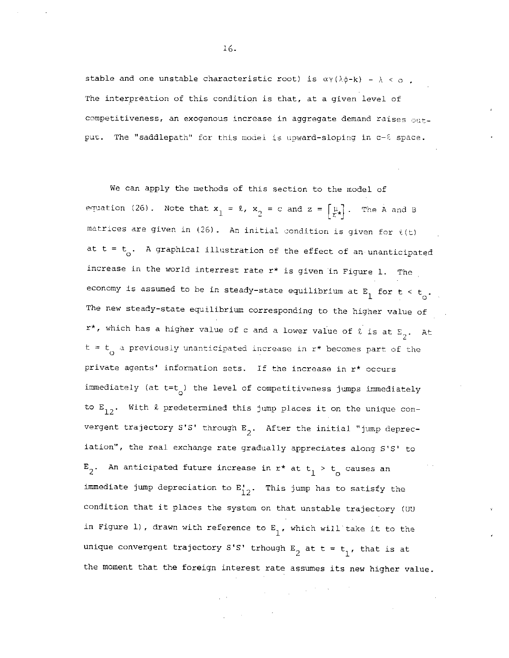stable and one unstable characteristic root) is  $\alpha\gamma(\lambda\phi-k)$  -  $\lambda < \infty$ . The interpreation of this condition is that, at a given level of competitiveness, an exogenous increase in aggregate demand raises  $_{\text{Out}-}$ put. The "saddlepath" for this model is upward-sloping in  $c-\ell$  space.

We can apply the methods of this section to the model of equation (26). Note that  $x_1 = \ell$ ,  $x_2 = c$  and  $z = \begin{bmatrix} u \\ k \end{bmatrix}$ . The A and B matrices are given in (26). An initial condition is given for  $\ell(t)$ at t =  $t_o$ . A graphical illustration of the effect of an unanticipated increase in the world interrest rate  $r^*$  is given in Figure 1. The economy is assumed to be in steady-state equilibrium at  $E_1$  for  $t < t_0$ . The new steady—state equilibrium corresponding to the higher value of r\*, which has a higher value of c and a lower value of  $\ell$  is at  $E_2$ . At  $t = t_0$  a previously unanticipated increase in  $r^*$  becomes part of the private agents' information sets. If the increase in  $r^*$  occurs immediately (at  $t=t_o$ ) the level of competitiveness jumps immediately to  $E_{12}$ . With  $\ell$  predetermined this jump places it on the unique convergent trajectory S'S' through  $E_2$ . After the initial "jump depreciation", the real exchange rate gradually appreciates along S'S' to  $E_2$ . An anticipated future increase in  $r^*$  at  $t_1 > t_0$  causes an immediate jump depreciation to  $E'_{12}$ . This jump has to satisfy the condition that it places the system on that unstable trajectory (UU in Figure 1), drawn with reference to  $E_{1}$ , which will take it to the unique convergent trajectory S'S' trhough  $E_2$  at t = t<sub>1</sub>, that is at the moment that the foreign interest rate assumes its new higher value.

$$
(\mathcal{L}^{\mathcal{L}}_{\mathcal{L}}\otimes\mathcal{L}^{\mathcal{L}}_{\mathcal{L}}\otimes\mathcal{L}^{\mathcal{L}}_{\mathcal{L}}\otimes\mathcal{L}^{\mathcal{L}}_{\mathcal{L}}
$$

 $\label{eq:2.1} \frac{1}{\sqrt{2\pi}}\int_{\mathbb{R}^{3}}\frac{1}{\sqrt{2\pi}}\int_{\mathbb{R}^{3}}\frac{1}{\sqrt{2\pi}}\int_{\mathbb{R}^{3}}\frac{1}{\sqrt{2\pi}}\int_{\mathbb{R}^{3}}\frac{1}{\sqrt{2\pi}}\int_{\mathbb{R}^{3}}\frac{1}{\sqrt{2\pi}}\int_{\mathbb{R}^{3}}\frac{1}{\sqrt{2\pi}}\int_{\mathbb{R}^{3}}\frac{1}{\sqrt{2\pi}}\int_{\mathbb{R}^{3}}\frac{1}{\sqrt{2\pi}}\int_{\mathbb{$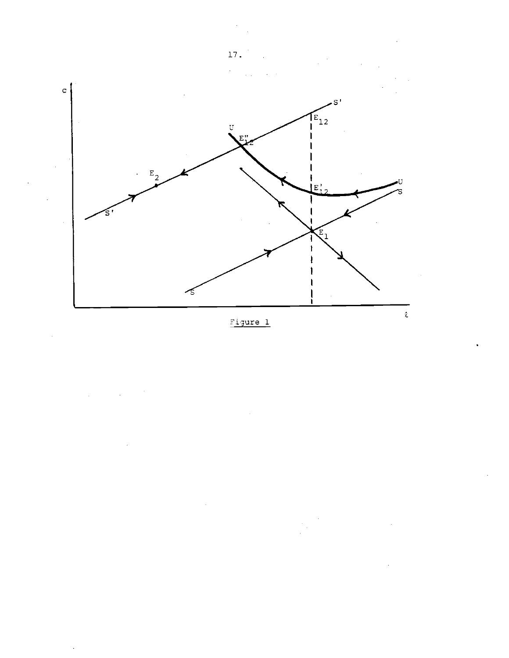

Figure 1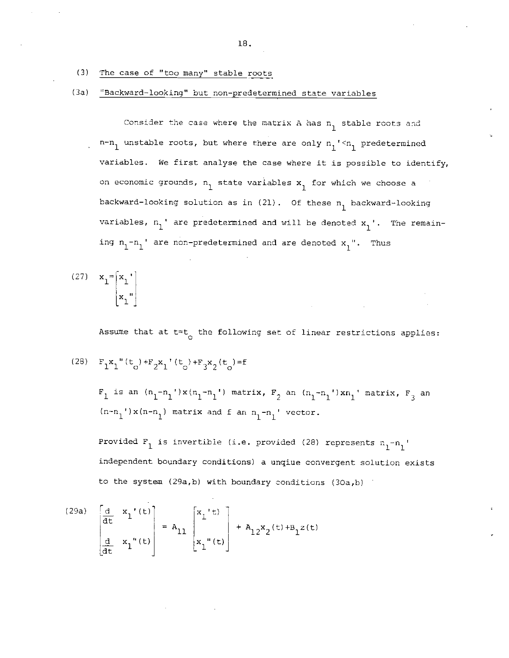- (3) The case of "too many" stable roots
- (3a) Thackward-looking" but non-predetermined state variables

Consider the case where the matrix A has  $n_1$  stable roots and  $n-n_1$  unstable roots, but where there are only  $n_1$ <sup>'</sup>  $n_1$  predetermined variables. We first analyse the case where it is possible to identify, on economic grounds,  $n_1$  state variables  $x_1$  for which we choose a backward-looking solution as in  $(21)$ . Of these  $n_1$  backward-looking variables,  $n_1'$  are predetermined and will be denoted  $x_1'$ . The remaining  $n_1-n_1'$  are non-predetermined and are denoted  $x_1''$ . Thus

$$
(27) \quad \mathbf{x}_1 = \begin{bmatrix} x_1 \\ x_1 \\ x_1 \end{bmatrix}
$$

Assume that at  $t = t_{\alpha}$  the following set of linear restrictions applies:

(28) 
$$
F_1x_1''(t_o) + F_2x_1'(t_o) + F_3x_2(t_o) = f
$$

 $F_1$  is an  $(n_1-n_1')x(n_1-n_1')$  matrix,  $F_2$  an  $(n_1-n_1')xn_1'$  matrix,  $F_3$  an  $(n-n_1)$  x $(n-n_1)$  matrix and f an  $n_1-n_1$ ' vector.

Provided  $F_1$  is invertible (i.e. provided (28) represents  $n_1 - n_1$ independent boundary conditions) a unqiue convergent solution exists to the system (29a,b) with boundary conditions (30a,b)

(29a) 
$$
\begin{bmatrix} \frac{d}{dt} & x_1'(t) \\ \frac{d}{dt} & x_1''(t) \end{bmatrix} = A_{11} \begin{bmatrix} x_1'(t) \\ x_1''(t) \end{bmatrix} + A_{12}x_2(t) + B_1z(t)
$$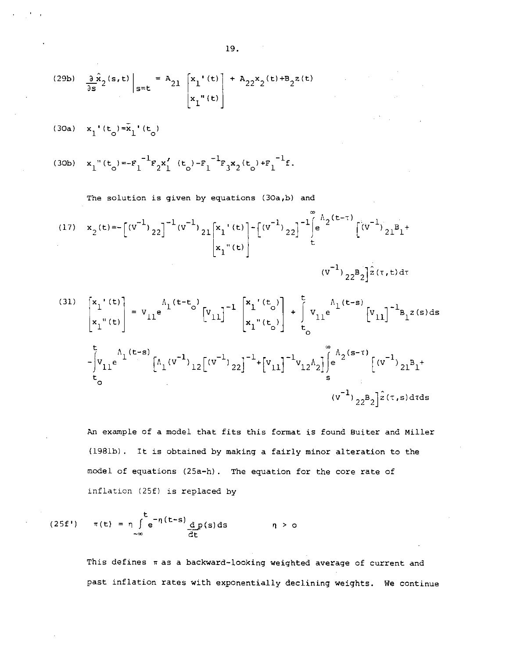(29b) 
$$
\frac{3}{9s}x_{2}(s,t) \Big|_{s=t} = A_{21} \Big[ x_{1}(t) + A_{22}x_{2}(t) + B_{2}z(t)
$$
  
\n(30a)  $x_{1}(t_{0}) = \overline{x}_{1}(t_{0})$   
\n(30b)  $x_{1}(t_{0}) = -F_{1}^{-1}F_{2}x_{1}'(t_{0}) - F_{1}^{-1}F_{3}x_{2}(t_{0}) + F_{1}^{-1}f$ .  
\nThe solution is given by equations (30a,b) and  
\n(17)  $x_{2}(t) = -\Big[(v^{-1})_{22}\Big]^{-1}(v^{-1})_{21}\Big[x_{1}(t) - \Big[(v^{-1})_{22}\Big]^{-1}\Big[\frac{a}{t}e^{A_{2}(t-\tau)}\Big[(v^{-1})_{21}B_{1} + \Big[(v^{-1})_{22}B_{2}]e^{A_{2}(t-\tau)}\Big[(v^{-1})_{22}B_{2}]e^{A_{2}(t-\tau)}\Big]$   
\n(181)  $\Big[x_{1}(t) - \Big[x_{1}(t) - \Big[x_{1}(t) - \Big[x_{1}(t) - \Big[x_{1}(t) - \Big] + \Big[x_{1}(t) - \Big[x_{1}(t-\tau) - \Big[x_{1}(t) - \Big] + \Big[x_{1}(t-\tau) - \Big[x_{1}(t) - \Big[x_{1}(t) - \Big] + \Big[x_{1}(t-\tau) - \Big[x_{1}(t) - \Big[x_{1}(t) - \Big] + \Big[x_{1}(t-\tau) - \Big[x_{1}(t) - \Big[x_{1}(t-\tau) - \Big[x_{1}(t-\tau) - \Big[x_{1}(t-\tau) - \Big[x_{1}(t-\tau) - \Big] + \Big[x_{1}(t-\tau) - \Big[x_{1}(t-\tau) - \Big[x_{1}(t-\tau) - \Big[x_{1}(t-\tau) - \Big[x_{1}(t-\tau) - \Big[x_{1}(t-\tau) - \Big] + \Big[x_{1}(t-\tau) - \Big[x_{1}(t-\tau) - \Big[x_{1}(t-\tau) - \Big[x_{1}(t-\tau) - \Big[x_{1}(t-\tau) - \Big[x_{1}(t-\tau) - \Big[x_{1}(t-\tau) - \Big[x_{1}(t-\tau) - \Big[x_{1}(t-\tau) - \Big[x_{1}(t-\tau) - \Big[x_{1}(t-\tau) - \Big[x_{1}(t$ 

An example of a model that fits this format is found Buiter and Miller (1981b) . It is obtained by making a fairly minor alteration to the model of equations (25a—h) . The equation for the core rate of inflation (25f) is replaced by

$$
(25f') \qquad \pi(t) = \eta \int_{-\infty}^{t} e^{-\eta(t-s)} \frac{dp(s) ds}{dt} \qquad \eta > 0
$$

 $\ddot{ }$ 

This defines  $\pi$  as a backward-looking weighted average of current and past inflation rates with exponentially declining weights. We continue

19.

 $\sim 10^{-1}$  m  $^{-1}$ 

 $\alpha$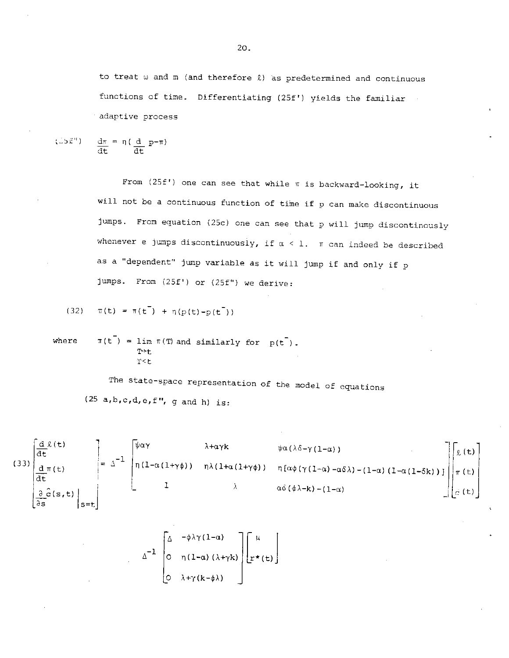to treat  $\omega$  and  $m$  (and therefore  $\ell$ ) as predetermined and continuous functions of time. Differentiating (25f') yields the familiar adaptive process

 $d\pi = \eta(\underline{d} \underline{p} - \pi)$  $\overline{dt}$   $\overline{dt}$   $\overline{t}$ 

> From  $(25f')$  one can see that while  $\pi$  is backward-looking, it will not be a continuous function of time if p can make discontinuous jumps. From equation (25c) one can see that p will jump discontinously whenever e jumps discontinuously, if  $\alpha < 1$ .  $\pi$  can indeed be described as a "dependent' jump variable as it will jump if and only if p jumps. From (25f') or (2Sf') we derive:

(32) 
$$
\pi(t) = \pi(t^{-}) + \eta(p(t)-p(t^{-}))
$$

where  $\pi(t^{-}) = \lim_{\pi \to 0} \pi(\pi)$  and similarly for  $p(t^{-})$ .  $T+1$  $T < L$ 

> The state-space representation of the model of equations  $(25 a,b,c,d,e,f'', g and h)$  is:

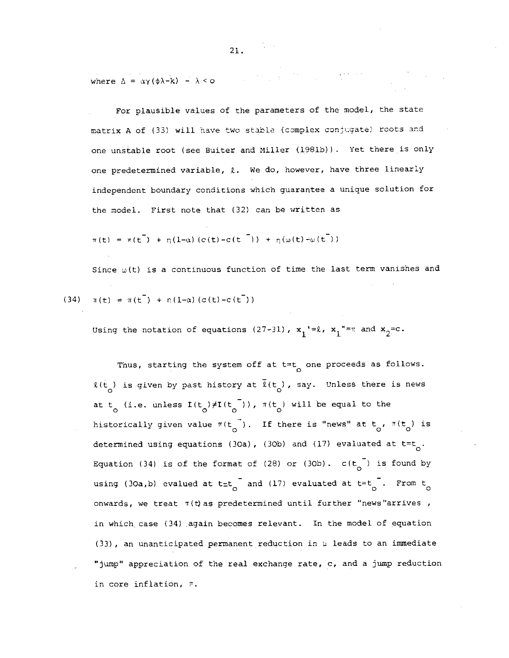where  $\Delta = \alpha \gamma (\phi \lambda - k) - \lambda < 0$  $\mathcal{L}_{\text{max}}$  and  $\mathcal{L}_{\text{max}}$  and  $\mathcal{L}_{\text{max}}$  and  $\mathcal{L}_{\text{max}}$ 

For plausible values of the parameters of the model, the state matrix A of (33) will have two stable (complex conjugate) roots and one unstable root (see Buiter and Miller (1981b)). Yet there is only one predetermined variable,  $\ell$ . We do, however, have three linearly independent boundary conditions which guarantee a unique solution for the model. First note that (32) can be written as

$$
\pi(t) = \pi(t^{-}) + \eta(l - \alpha) (c(t) - c(t^{-})) + \eta(\omega(t) - \omega(t^{-}))
$$

Since  $\omega(t)$  is a continuous function of time the last term vanishes and (34)  $\pi(t) = \pi(t^{-}) + \eta(1-\alpha) (c(t)-c(t^{-}))$ 

Using the notation of equations (27-31),  $x_1' = 2$ ,  $x_1'' = \pi$  and  $x_2 = c$ .

Thus, starting the system off at  $t=t_0$  one proceeds as follows.  $\ell(t)$  is given by past history at  $\tilde{\ell}(t)$ , say. Unless there is news at t<sub>o</sub> (i.e. unless  $I(t_o) \neq I(t_o^{-})$ ),  $\pi(t_o)$  will be equal to the historically given value  $\pi(t_{\odot}^{\dagger})$ . If there is "news" at  $t_{\odot}$ ,  $\pi(t_{\odot})$  is determined using equations (30a), (30b) and (17) evaluated at  $t=t_{0}$ . Equation (34) is of the format of (28) or (30b).  $c(t_{\text{o}}^{-})$  is found by using (30a,b) evalued at t=t<sub>o</sub> and (17) evaluated at t=t<sub>o</sub> . From t<sub>o</sub> onwards, we treat  $\pi(t)$  as predetermined until further "news"arrives, in which case (34) again becomes relevant. In the model of equation (33), an unanticipated permanent reduction in  $\mu$  leads to an immediate "jump" appreciation of the real exchange rate, c, and a jump reduction in core inflation,  $\bar{\tau}$ .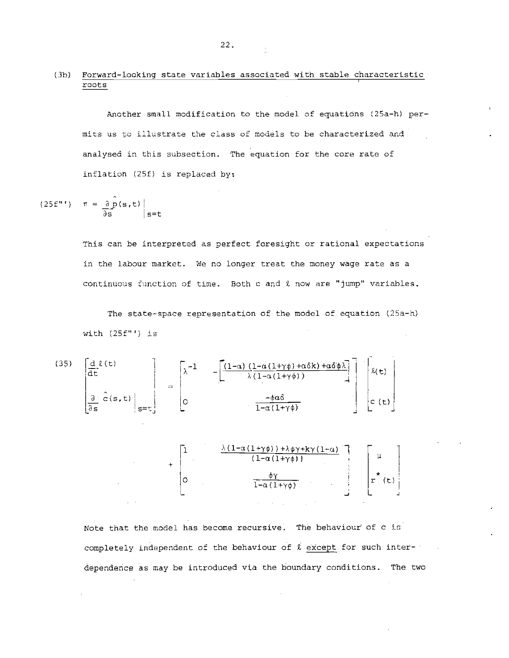#### (3h) Forward—looking state variables associated with stable characteristic roots I

Another small modification to the model of equatidns (25a—h) permits us to illustrate the class of models to be characterized and analysed in this subsection. The equation for the core rate of inflation (2Sf) is replaced by:

$$
(25f''') \quad \pi = \frac{\partial \hat{p}(s,t)}{\partial s} \Big|_{s=t}
$$

This can be interpreted as perfect foresight or rational expectations in the labour market. We no longer treat the money wage rate as a continuous function of time. Both c and 2. now are "jump" variables.

The state-space representation of the model of equation (25a—h) with (2Sf"') is

(35) 
$$
\begin{bmatrix}\n\underline{d} \ell(t) \\
\overline{d}t\n\end{bmatrix} = \begin{bmatrix}\n\lambda^{-1} & -\begin{bmatrix}\n(1-\alpha)(1-\alpha(1+\gamma\phi)+\alpha\delta k) + \alpha\delta\phi\lambda \\
\lambda(1-\alpha(1+\gamma\phi)) & 1\n\end{bmatrix}\n\end{bmatrix} \begin{bmatrix}\n\ell(t) \\
c(t)\n\end{bmatrix}
$$

Note that the model has become recursive. The behaviour of c is completely independent of the behaviour of  $\ell$  except for such interdependence as may be introduced via the boundary conditions. The two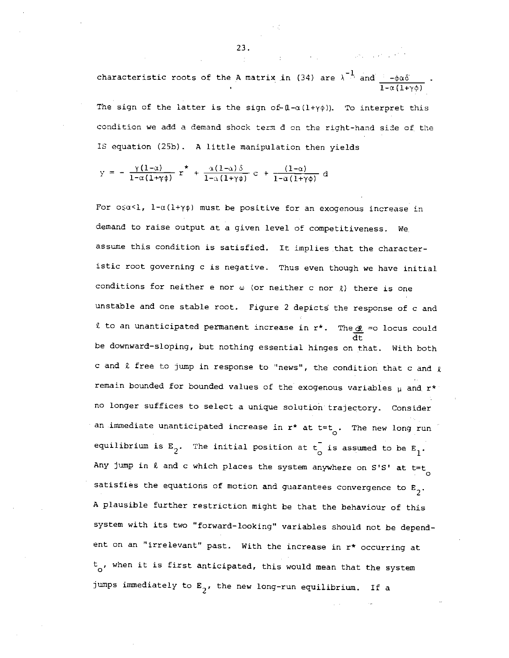characteristic roots of the A matrix in (34) are  $\lambda$   $\bar{a}$  and  $\underbrace{-\phi\alpha\delta}_{\pm}$  .  $1-\alpha(1+\gamma\phi)$ 

 $\mathcal{L}_{\text{max}}$  , and the space of the space of  $\mathcal{L}_{\text{max}}$ 

The sign of the latter is the sign of  $(1-\alpha(1+\gamma\phi))$ . To interpret this condition we add a demand shock term d on the right-hand side of. the IS equation (25b) . A little manipulation then yields

= -  $\frac{\gamma(1-\alpha)}{1-\alpha(1+\gamma\phi)}$  r<sup>\*</sup> +  $\frac{\alpha(1-\alpha)\delta}{1-\alpha(1+\gamma\phi)}$  c +  $\frac{(1-\alpha)}{1-\alpha(1+\gamma\phi)}$  d

For  $o \leq a < 1$ ,  $1-\alpha(1+\gamma\phi)$  must be positive for an exogenous increase in demand to raise output at a given level of competitiveness. We. assume this condition is satisfied. It implies that the characteristic root governing c is negative. Thus even though we have initial conditions for neither e nor  $\omega$  (or neither c nor  $\ell$ ) there is one unstable and one stable root. Figure 2 depicts the response of c and  $\ell$  to an unanticipated permanent increase in  $r^*$ . The  $\underline{\mathcal{X}}$  =o locus could dt be downward—sloping, but nothing essential hinges on that. With both c and  $\ell$  free to jump in response to "news", the condition that c and  $\ell$ remain bounded for bounded values of the exogenous variables  $\mu$  and  $r^*$ no longer suffices to select a unique solution trajectory. Consider an immediate unanticipated increase in  $r^*$  at  $t=t$ . The new long run equilibrium is  $E_2$ . The initial position at  $t_{\circ}$  is assumed to be  $E_1$ . Any jump in  $\ell$  and c which places the system anywhere on S'S' at t=t satisfies the equations of motion and guarantees convergence to  $\mathtt{E}_2.$ A plausible further restriction might be that the behaviour of this system with its two "forward—looking" variables should not be dependent on an "irrelevant" past. With the increase in r\* occurring at  $t_{0}$ , when it is first anticipated, this would mean that the system jumps immediately to  $E_{2'}$ , the new long-run equilibrium. If a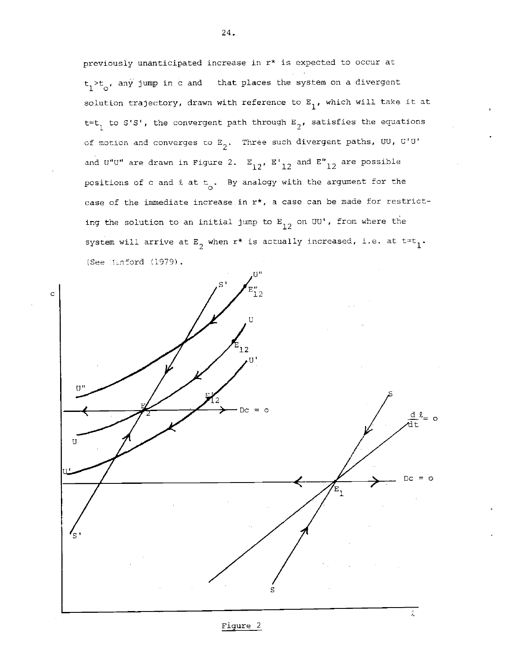previously unanticipated increase in r\* is expected to occur at  $t_1$ > $t_0$ , any jump in c and that places the system on a divergent solution trajectory, drawn with reference to  $E_1$ , which will take it at t=t<sub>1</sub> to S'S', the convergent path through  $E_2$ , satisfies the equations of motion and converges to  $E_2$ . Three such divergent paths, UU, G'U' and U"U" are drawn in Figure 2.  $E_{12}$ ,  $E'_{12}$  and  $E''_{12}$  are possible positions of c and  $\ell$  at t<sub>o</sub>. By analogy with the argument for the case of the immediate increase.in r\*, a case can be made for restricting the solution to an initial jump to  $E_{1,2}$  on UU', from where the system will arrive at  $E_{\frac{1}{2}}$  when  $r^*$  is actually increased, i.e. at  $t=t_1$ . (See  $\text{Inford}$  (1979).



Figure 2

24.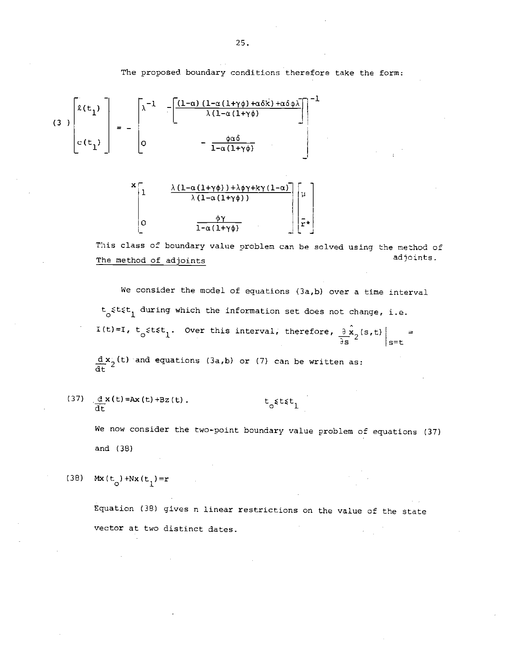The proposed boundary conditions therefore take the form:





This class of boundary value problen can be solved using the method of The method of adjoints adjoints adjoints.

We consider the model of equations (3a,b) over a time interval  $t_{\alpha}$  stst, during which the information set does not change, i.e. I(t)=I,  $t_o$  stst<sub>1</sub>. Over this interval, therefore,  $\frac{3}{2\pi}x_2(s,t)$  = s=t  $d\mathbf{x}_{2}^{'}(t)$  and equations (3a,b) or (7) can be written as: dt f

(37)  $\frac{d}{dt}x(t)=Ax(t)+Bz(t)$ . t  $\frac{d}{dt}t$ 

We now consider the two-point boundary value problem of equations (37) and (38)

(38) Mx(t<sub>o</sub>)+Nx(t<sub>1</sub>)=r

Equation (38) gives n linear restrictions on the value of the state vector at two distinct dates.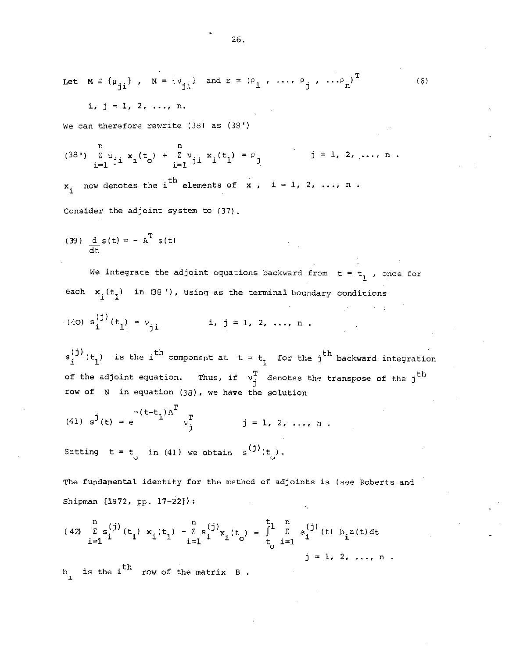Let 
$$
M = {\mu_{jj}}
$$
,  $N = {\nu_{jj}}$  and  $r = {\rho_1, ..., \rho_j, ..., \rho_n}^T$  (6)

 $i, j = 1, 2, \ldots, n.$ 

We can therefore rewrite  $(38)$  as  $(38')$ 

(38') 
$$
\sum_{i=1}^{n} u_{ji} x_i(t_0) + \sum_{i=1}^{n} v_{ji} x_i(t_1) = \rho_j
$$
 j = 1, 2, ..., n.  
 $x_i$  now denotes the i<sup>th</sup> elements of x, i = 1, 2, ..., n.

Consider the adjoint system to (37).

(39) 
$$
\frac{d}{dt} s(t) = - A^{T} s(t)
$$

We integrate the adjoint equations backward from  $t = t_1$ , once for each  $x_i(t_1)$  in (38 '), using as the terminal boundary conditions

(40) 
$$
s_i^{(j)}(t_1) = v_{ji}
$$
   
 i, j = 1, 2, ..., n.

 $s_i^{(j)}(t_1)$  is the i<sup>th</sup> component at  $t = t_1$  for the j<sup>th</sup> backward integration of the adjoint equation. Thus, if  $v_j^T$  denotes the transpose of the  $j$ <sup>th</sup> row of N in equation (38), we have the solution

(41) 
$$
s^{j}(t) = e^{-\left(t - t_{1}\right)A^{T}} v_{j}^{T}
$$
   
  $j = 1, 2, ..., n$ .

Setting  $t = t_0$  in (41) we obtain  $s^{(j)}(t_0)$ .

The fundamental identity for the method of adjoints is (see Roberts and Shipman 11972, pp. 17—221):

(42) 
$$
\sum_{i=1}^{n} s_{i}^{(j)}(t_{1}) x_{i}(t_{1}) - \sum_{i=1}^{n} s_{i}^{(j)}x_{i}(t_{0}) = \int_{t_{0}}^{t_{1}} \sum_{i=1}^{n} s_{i}^{(j)}(t) b_{i}z(t) dt
$$
  
\nis the i<sup>th</sup> row of the matrix B.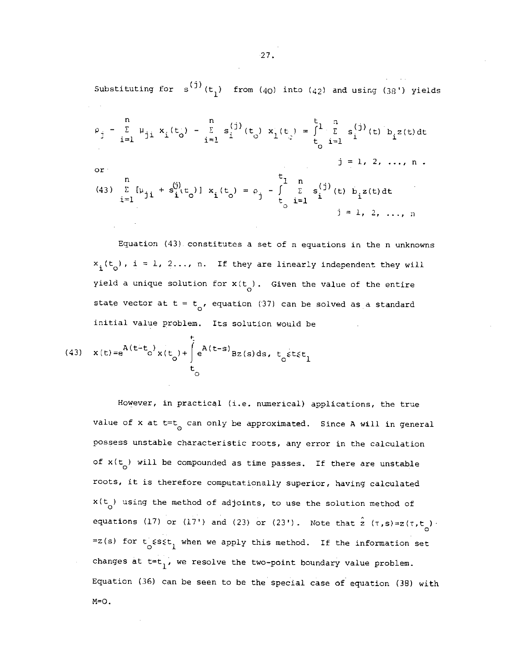Substituting for  $s^{(j)}(t_1)$  from  $(40)$  into  $(42)$  and using  $(38')$  yields

$$
\rho_{j} - \sum_{i=1}^{n} \mu_{ji} x_{i}(t_{0}) - \sum_{i=1}^{n} s_{i}^{(j)}(t_{0}) x_{i}(t_{0}) = \int_{t_{0}}^{t_{1}} \sum_{i=1}^{n} s_{i}^{(j)}(t) b_{i} z(t) dt
$$
\nor\n
$$
\int_{i=1}^{n} \mu_{ji} + s_{i}^{(j)}(t_{0}) x_{i}(t_{0}) = \rho_{j} - \int_{t_{0}}^{t_{1}} \sum_{i=1}^{n} s_{i}^{(j)}(t) b_{i} z(t) dt
$$
\n
$$
\int_{i=1}^{n} \mu_{ji} + s_{i}^{(j)}(t_{0}) x_{i}(t_{0}) = \rho_{j} - \int_{t_{0}}^{t_{1}} \sum_{i=1}^{n} s_{i}^{(j)}(t) b_{i} z(t) dt
$$
\n
$$
\int_{i=1}^{n} \sum_{i=1}^{n} x_{i}^{(j)}(t) x_{i}(t) dt = \int_{t_{0}}^{t_{1}} \sum_{i=1}^{n} x_{i}^{(j)}(t) x_{i}(t) dt
$$

Equation (43). constitutes a set of n equations in the n unknowns  $x_i(t_o)$ , i = 1, 2..., n. If they are linearly independent they will yield a unique solution for  $x(t)$ . Given the value of the entire state vector at t = t<sub>o</sub>, equation (37) can be solved as a standard initial value problem. Its solution would be

(43) 
$$
\mathbf{x}(t) = e^{A(t-t_0)} \mathbf{x}(t_0) + \int_{t_0}^{t_1} e^{A(t-s)} Bz(s) ds, t_0 \leq t \leq t_1
$$

However, in practical (i.e. numerical) applications, the true value of x at  $t=t_0$  can only be approximated. Since A will in general possess unstable characteristic roots, any error in the calculation of  $x(t_0)$  will be compounded as time passes. If there are unstable roots, it is therefore computationally superior, having calculated  $x(t)$  using the method of adjoints, to use the solution method of equations (17) or (17') and (23) or (23'). Note that  $\hat{z}$  ( $\tau$ ,  $s$ ) =  $z(\tau, t_o)$ .  $=z(s)$  for  $t_{0}$  ssst<sub>1</sub> when we apply this method. If the information set changes at  $t=t_1$ , we resolve the two-point boundary value problem. Equation (36) can be seen to be the special case of equation (38) with  $M=O$ .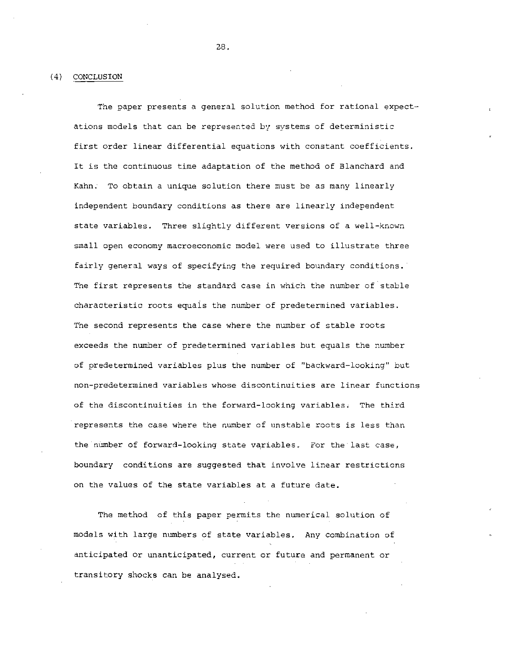(4) CONCLUSiON

The paper presents a general solution method for rational expectations models that can be represented by systems of deterministic first order linear differential equations with constant coefficients. It is the continuous time adaptation of the method of Blanchard and Kahn. To obtain a unique solution there must be as many linearly independent boundary conditions as there are linearly independent state variables. Three slightly different versions of a well—known small open economy macroeconomic model were used to illustrate three fairly general ways of specifying the required boundary conditions. The first represents the standard case in which the number of stable characteristic roots equals the number of predetermined variables. The second represents the case where the number of stable roots exceeds the number of predetermined variables but equals the number of predetermined variables plus the number of "backward—looking" but non—predetermined variables whose discontinuities are linear functions of the discontinuities in the forward-looking variables. The third represents the case where the number of unstable roots is less than the number of forward-looking state variables. For the last case, boundary conditions are suggested that involve linear restrictions on the values of the state variables at a future date.

The method of this paper permits the numerical solution of models with large numbers of state variables. Any combination of anticipated or unanticipated, current or future and permanent or transitory shocks can be analysed.

2.8.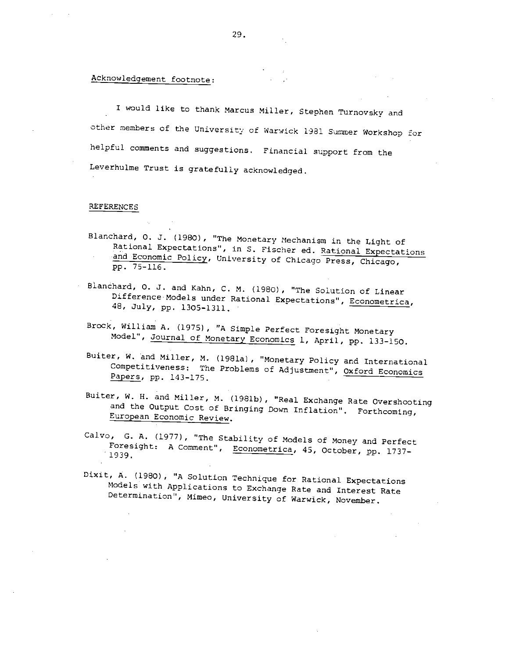## Acknowledgement footnote:

I would like to thank Marcus Miller, Stephen Turnovsky and other members of the University of Warwick 1981 Summer Workshop for helpful comments and suggestions. Financial support from the Leverhulme Trust is gratefully acknowledged.

#### REFERENCES

- Elanchard, 0. J. (1980) , "The Monetary Mechanism in the Light of Rational Expectations", in S. Fischer ed. Rational Expectations and Economic Policy, University of Chicago Press, Chicago, pp. 75—116.
- Blanchard, 0. J. and Kahn, C. M. (1980) , "The Solution of Linear Difference Models under Rational Expectations', Econometrica, 48, July, pp. 1305—1311.
- Brock, William A. (1975) , "A Simple Perfect Foresight Monetary Model", Journal of Monetary Economics 1, April, pp. 133-150.
- Buiter, W. and Miller, M. (1981a), "Monetary Policy and International Competitiveness: The Problems of Adjustment", Oxford Economics Papers, pp. 143—175.
- Buiter, W. H. and Miller, M. (1981b), "Real Exchange Rate Overshooting and the Output Cost of Bringing Down Inflation'. Forthcoming, European Economic Review.
- Calvo, 0. A. (1977), "The Stability of Models of Money and Perfect Foresight: A Comment", Econometrica, 45, October, pp. 1737-1939.
- Dixit, A. (1980) , "A Solution Technique for Rational Expectations Models with Applications to Exchange Rate and Interest Rate Determination", Mimeo, University of Warwick, November,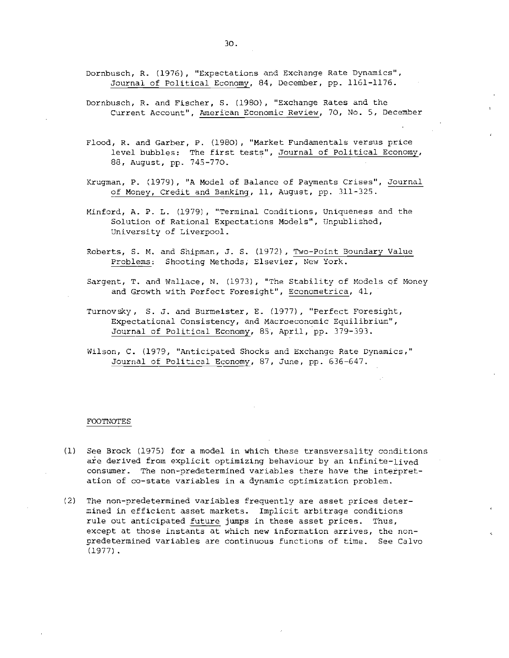- Dornbusch, R. (1976), "Expectations and Exchange Rate Dynamics", Journal of Political Economy, 84, December, pp. 1161-1176.
- Dornbusch, R. and Fischer, S. (1980), "Exchange Rates and the Current Account', American Economic Review, 70, No. 5, December
- Flood, R. and Garber, P. (1980), "Market Fundamentals versus price level bubbles: The first tests', Journal of Political Economy, 88, August, pp. 745—770.
- Krugnan, p. (1979), "A Model of Balance of Payments Crises", Journal of Money, Credit and Banking, Il, August, pp. 311—325.
- Minford, A. P. L. (1979) , "Terminal Conditions, Uniqueness and the Solution of Rational Expectations Models", Unpublished, University of Liverpool.
- Roberts, S. M. and Shipman, J. S. (1972) , Two-Point Boundary Value Problems: Shooting Methods, Elsevier, New York.
- Sargent. T. and Wallace, N. (1973), "The Stability of Models cf Money and Growth with Perfect Foresight", Econometrica, 41,
- Turnovsky, S. J. and Burmeister, E. (1977), "Perfect Foresight, Expectational Consistency, and Macroeconomic Equilibrium", Journal of Political Economy, 85, April, pp. 379-393.
- Wilson, C. (1979, "Anticipated Shocks and Exchange Rate Dynamics," Journal of Political Economy, 87, June, pp. 636-647.

#### FOOTNOTES

- $(1)$  See Brock  $(1975)$  for a model in which these transversality conditions are derived from explicit optimizing behaviour by an infinite-lived consumer. The non-predetermined variables there have the interpretation of co-state variables in a dynamic optimization problem.
- (2) The non-predetermined variables frequently are asset prices deter- mined in efficient asset markets. Implicit arbitrage conditions rule out anticipated future jumps in these asset prices. Thus, except at those instants at which new information arrives, the nonpredetermined variables are continuous functions of time. See Calvo  $(1977)$ .